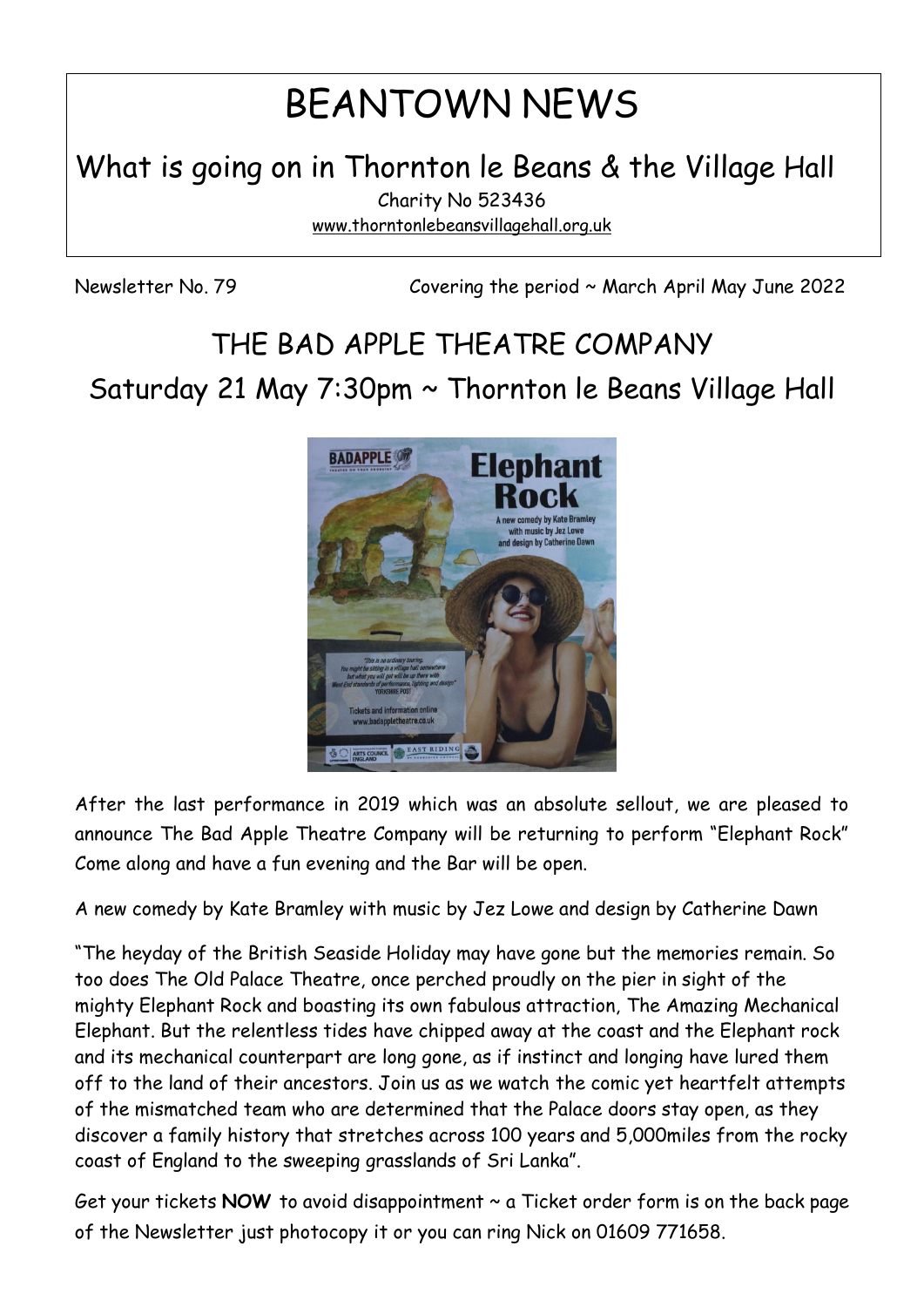# BEANTOWN NEWS

What is going on in Thornton le Beans & the Village Hall

Charity No 523436 [www.thorntonlebeansvillagehall.org.uk](http://www.thorntonlebeansvillagehall.org.uk/)

Newsletter No. 79 Covering the period ~ March April May June 2022

# THE BAD APPLE THEATRE COMPANY Saturday 21 May 7:30pm ~ Thornton le Beans Village Hall



After the last performance in 2019 which was an absolute sellout, we are pleased to announce The Bad Apple Theatre Company will be returning to perform "Elephant Rock" Come along and have a fun evening and the Bar will be open.

A new comedy by Kate Bramley with music by Jez Lowe and design by Catherine Dawn

"The heyday of the British Seaside Holiday may have gone but the memories remain. So too does The Old Palace Theatre, once perched proudly on the pier in sight of the mighty Elephant Rock and boasting its own fabulous attraction, The Amazing Mechanical Elephant. But the relentless tides have chipped away at the coast and the Elephant rock and its mechanical counterpart are long gone, as if instinct and longing have lured them off to the land of their ancestors. Join us as we watch the comic yet heartfelt attempts of the mismatched team who are determined that the Palace doors stay open, as they discover a family history that stretches across 100 years and 5,000miles from the rocky coast of England to the sweeping grasslands of Sri Lanka".

Get your tickets NOW to avoid disappointment ~ a Ticket order form is on the back page of the Newsletter just photocopy it or you can ring Nick on 01609 771658.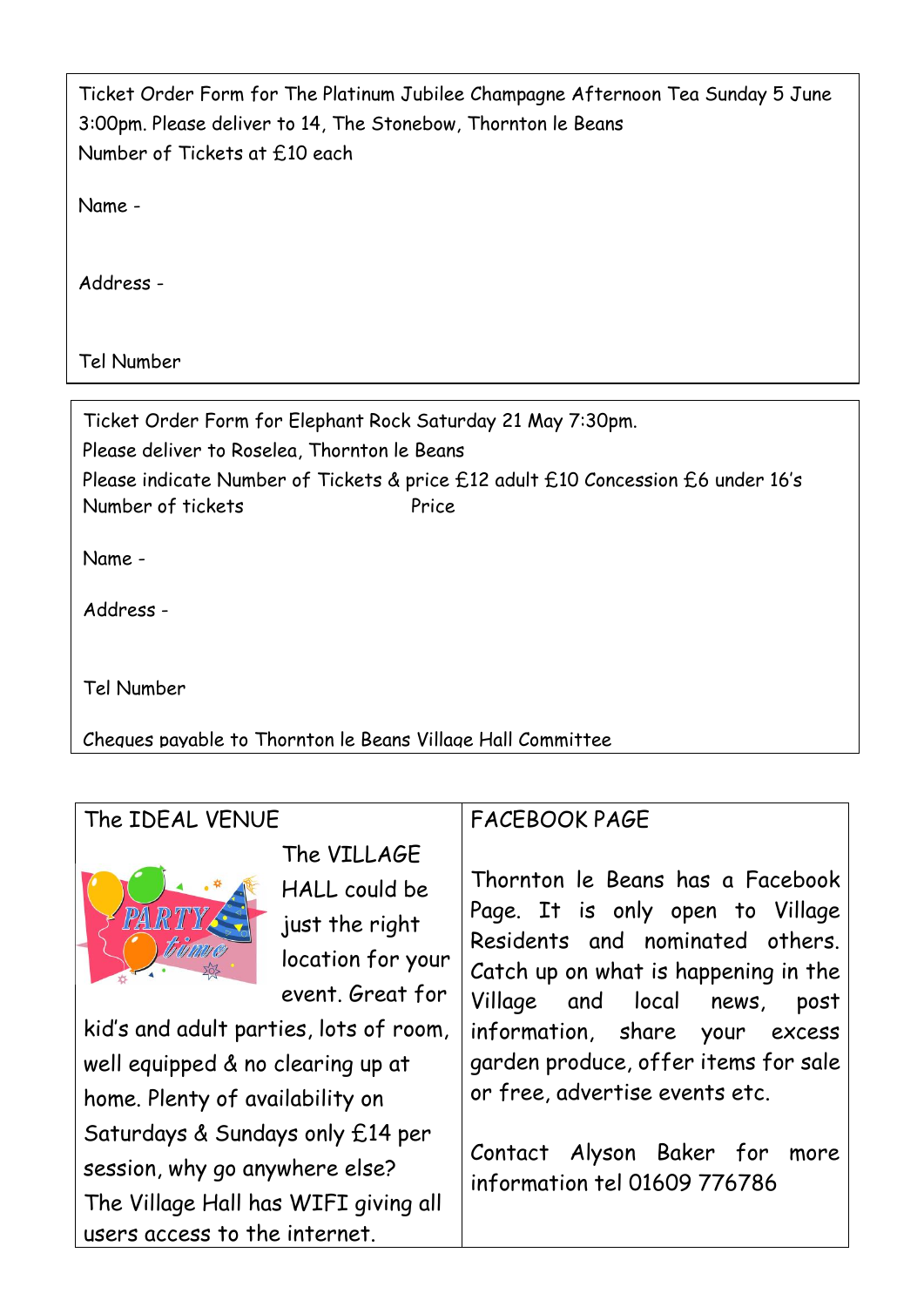| Ticket Order Form for The Platinum Jubilee Champagne Afternoon Tea Sunday 5 June |
|----------------------------------------------------------------------------------|
| 3:00pm. Please deliver to 14, The Stonebow, Thornton le Beans                    |
| Number of Tickets at £10 each                                                    |

Name -

Address -

Tel Number

Ticket Order Form for Elephant Rock Saturday 21 May 7:30pm. Please deliver to Roselea, Thornton le Beans Please indicate Number of Tickets & price £12 adult £10 Concession £6 under 16's Number of tickets Price

Name -

Address -

Tel Number

Cheques payable to Thornton le Beans Village Hall Committee

| The IDEAL VENUE                                                                                                                                                                                                             |                                                                                                                                   | <b>FACEBOOK PAGE</b>                                                                                                                                                                                                                                                                                                                                            |
|-----------------------------------------------------------------------------------------------------------------------------------------------------------------------------------------------------------------------------|-----------------------------------------------------------------------------------------------------------------------------------|-----------------------------------------------------------------------------------------------------------------------------------------------------------------------------------------------------------------------------------------------------------------------------------------------------------------------------------------------------------------|
| PART<br>well equipped & no clearing up at<br>home. Plenty of availability on<br>Saturdays & Sundays only £14 per<br>session, why go anywhere else?<br>The Village Hall has WIFI giving all<br>users access to the internet. | The VILLAGE<br>HALL could be<br>just the right<br>location for your<br>event. Great for<br>kid's and adult parties, lots of room, | Thornton le Beans has a Facebook<br>Page. It is only open to Village<br>Residents and nominated others.<br>Catch up on what is happening in the<br>Village and local news,<br>post<br>information, share your excess<br>garden produce, offer items for sale<br>or free, advertise events etc.<br>Contact Alyson Baker for more<br>information tel 01609 776786 |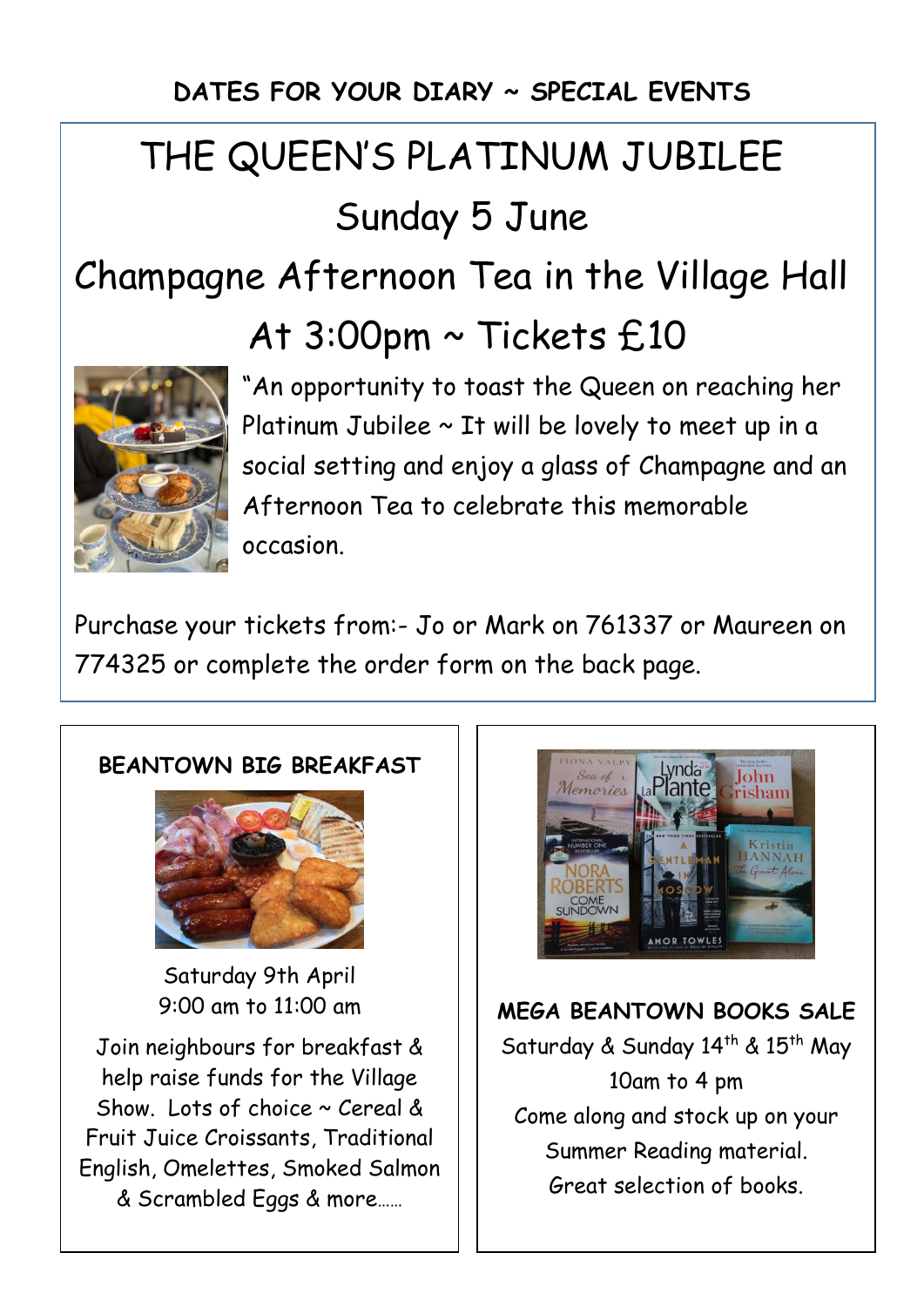### **DATES FOR YOUR DIARY ~ SPECIAL EVENTS**

# THE QUEEN'S PLATINUM JUBILEE Sunday 5 June

## Champagne Afternoon Tea in the Village Hall

## At 3:00pm ~ Tickets £10



"An opportunity to toast the Queen on reaching her Platinum Jubilee  $\sim$  It will be lovely to meet up in a social setting and enjoy a glass of Champagne and an Afternoon Tea to celebrate this memorable occasion.

Purchase your tickets from:- Jo or Mark on 761337 or Maureen on 774325 or complete the order form on the back page.

#### **BEANTOWN BIG BREAKFAST**



Saturday 9th April 9:00 am to 11:00 am

Join neighbours for breakfast & help raise funds for the Village Show. Lots of choice  $\sim$  Cereal & Fruit Juice Croissants, Traditional English, Omelettes, Smoked Salmon & Scrambled Eggs & more……



**MEGA BEANTOWN BOOKS SALE** Saturday & Sunday 14<sup>th</sup> & 15<sup>th</sup> May 10am to 4 pm Come along and stock up on your Summer Reading material. Great selection of books.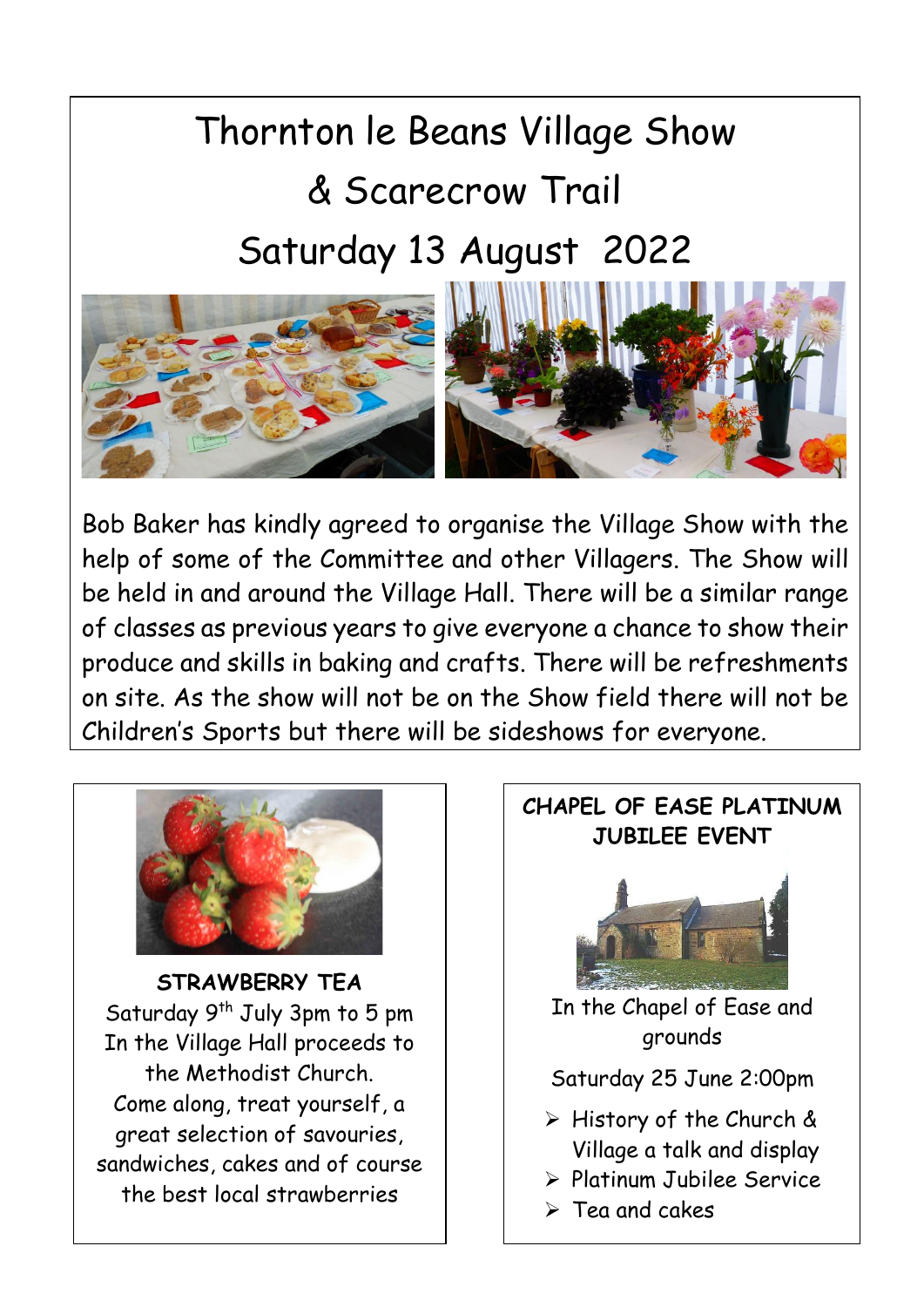# Thornton le Beans Village Show & Scarecrow Trail Saturday 13 August 2022



Bob Baker has kindly agreed to organise the Village Show with the help of some of the Committee and other Villagers. The Show will be held in and around the Village Hall. There will be a similar range of classes as previous years to give everyone a chance to show their produce and skills in baking and crafts. There will be refreshments on site. As the show will not be on the Show field there will not be Children's Sports but there will be sideshows for everyone.



**STRAWBERRY TEA** Saturday 9<sup>th</sup> July 3pm to 5 pm In the Village Hall proceeds to the Methodist Church. Come along, treat yourself, a great selection of savouries, sandwiches, cakes and of course the best local strawberries

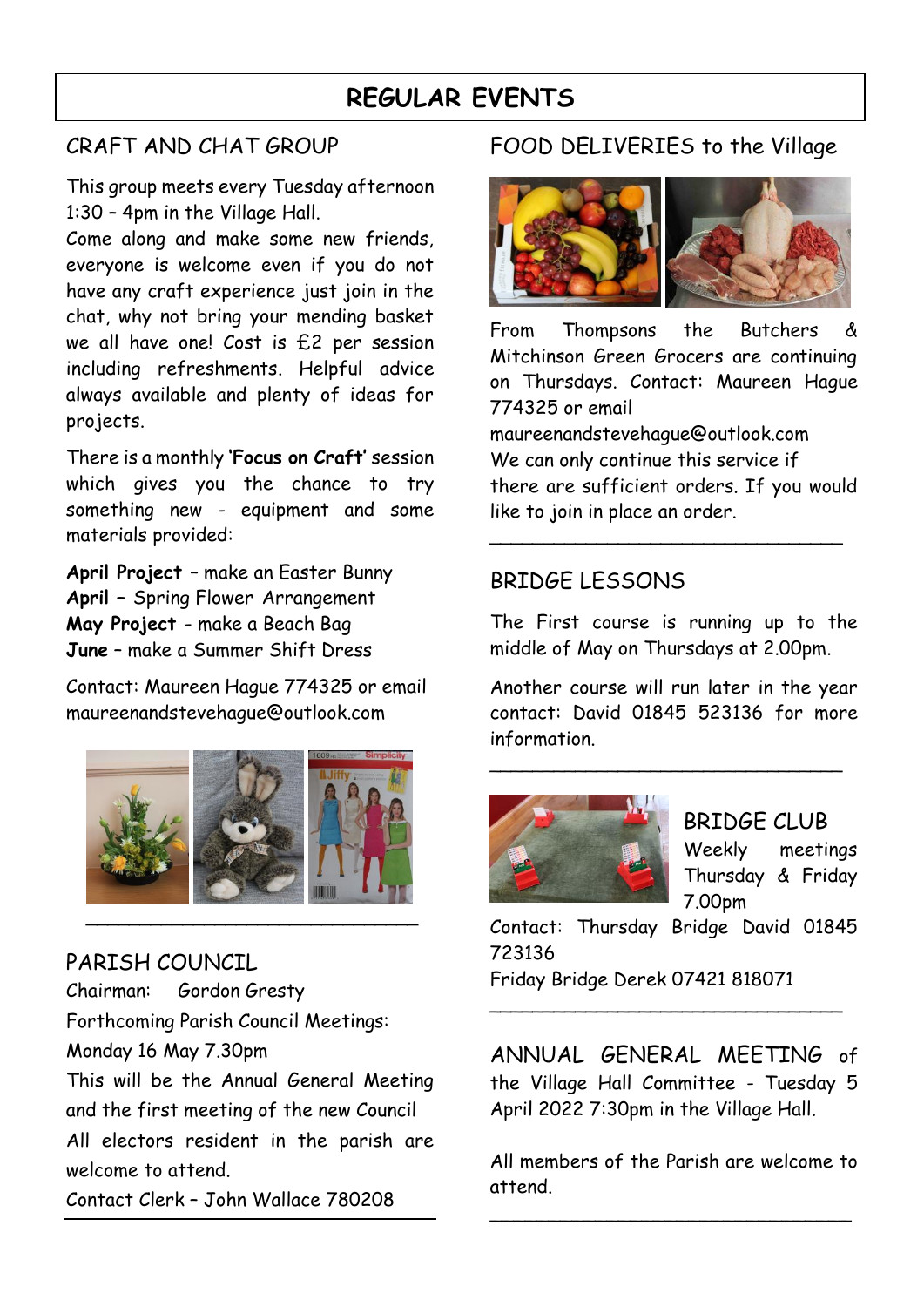### **REGULAR EVENTS**

#### CRAFT AND CHAT GROUP

This group meets every Tuesday afternoon 1:30 – 4pm in the Village Hall.

Come along and make some new friends, everyone is welcome even if you do not have any craft experience just join in the chat, why not bring your mending basket we all have one! Cost is £2 per session including refreshments. Helpful advice always available and plenty of ideas for projects.

There is a monthly **'Focus on Craft'** session which gives you the chance to try something new - equipment and some materials provided:

**April Project** – make an Easter Bunny **April –** Spring Flower Arrangement **May Project** - make a Beach Bag **June** – make a Summer Shift Dress

Contact: Maureen Hague 774325 or email [maureenandstevehague@outlook.com](mailto:maureenandstevehague@outlook.com)



PARISH COUNCIL Chairman: Gordon Gresty Forthcoming Parish Council Meetings: Monday 16 May 7.30pm This will be the Annual General Meeting and the first meeting of the new Council All electors resident in the parish are welcome to attend. Contact Clerk – John Wallace 780208

#### FOOD DELIVERIES to the Village



From Thompsons the Butchers & Mitchinson Green Grocers are continuing on Thursdays. Contact: Maureen Hague 774325 or email

[maureenandstevehague@outlook.com](mailto:maureenandstevehague@outlook.com) We can only continue this service if there are sufficient orders. If you would like to join in place an order.

**\_\_\_\_\_\_\_\_\_\_\_\_\_\_\_\_\_\_\_\_\_\_\_\_\_\_\_\_\_\_\_\_\_**

#### BRIDGE LESSONS

The First course is running up to the middle of May on Thursdays at 2.00pm.

Another course will run later in the year contact: David 01845 523136 for more information.

\_\_\_\_\_\_\_\_\_\_\_\_\_\_\_\_\_\_\_\_\_\_\_\_\_\_\_\_\_\_\_\_\_



BRIDGE CLUB Weekly meetings Thursday & Friday 7.00pm

Contact: Thursday Bridge David 01845 723136 Friday Bridge Derek 07421 818071

\_\_\_\_\_\_\_\_\_\_\_\_\_\_\_\_\_\_\_\_\_\_\_\_\_\_\_\_\_\_\_\_\_

ANNUAL GENERAL MEETING of the Village Hall Committee - Tuesday 5 April 2022 7:30pm in the Village Hall.

All members of the Parish are welcome to attend.

\_\_\_\_\_\_\_\_\_\_\_\_\_\_\_\_\_\_\_\_\_\_\_\_\_\_\_\_\_\_\_